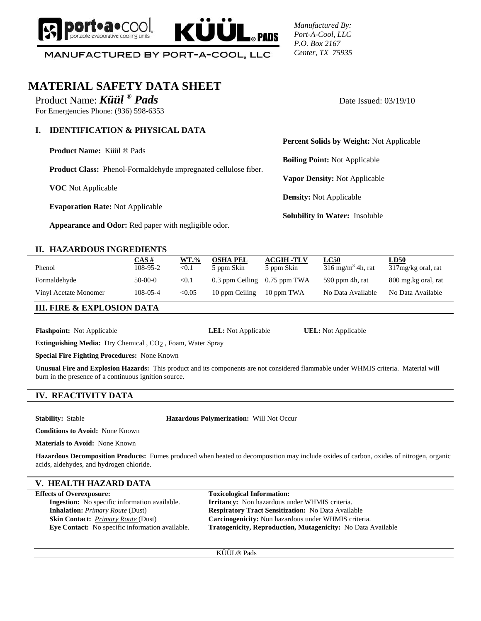

*Manufactured By: Port-A-Cool, LLC P.O. Box 2167 Center, TX 75935*

MANUFACTURED BY PORT-A-COOL, LLC

# **MATERIAL SAFETY DATA SHEET**

Product Name: *Küül* ® **Pads** Date Issued: 03/19/10

For Emergencies Phone: (936) 598-6353

## **I. IDENTIFICATION & PHYSICAL DATA**

**Product Name:** Küül ® Pads

**Product Class:** Phenol-Formaldehyde impregnated cellulose fiber.

**VOC** Not Applicable

**Evaporation Rate:** Not Applicable

**Appearance and Odor:** Red paper with negligible odor.

#### **II. HAZARDOUS INGREDIENTS**

| Phenol                | CAS #<br>108-95-2 | $WT. \%$<br>$<$ 0.1 | <b>OSHA PEL</b><br>5 ppm Skin    | <b>ACGIH -TLV</b><br>5 ppm Skin | <b>LC50</b><br>$316 \text{ mg/m}^3$ 4h, rat | <u>LD50</u><br>317mg/kg oral, rat |
|-----------------------|-------------------|---------------------|----------------------------------|---------------------------------|---------------------------------------------|-----------------------------------|
| Formaldehyde          | $50-00-0$         | < 0.1               | $0.3$ ppm Ceiling $0.75$ ppm TWA |                                 | 590 ppm 4h, rat                             | 800 mg.kg oral, rat               |
| Vinyl Acetate Monomer | $108 - 05 - 4$    | < 0.05              | 10 ppm Ceiling                   | 10 ppm TWA                      | No Data Available                           | No Data Available                 |

 $\mathbf{\mathsf{ZUL}}_{\mathsf{SPMDS}}$ 

**III. FIRE & EXPLOSION DATA**

**Flashpoint:** Not Applicable **LEL:** Not Applicable **UEL:** Not Applicable

**Extinguishing Media:** Dry Chemical , CO2 , Foam, Water Spray

**Special Fire Fighting Procedures:** None Known

**Unusual Fire and Explosion Hazards:** This product and its components are not considered flammable under WHMIS criteria. Material will burn in the presence of a continuous ignition source.

### **IV. REACTIVITY DATA**

**Stability:** Stable **Hazardous Polymerization:** Will Not Occur

**Conditions to Avoid:** None Known

**Materials to Avoid:** None Known

**Hazardous Decomposition Products:** Fumes produced when heated to decomposition may include oxides of carbon, oxides of nitrogen, organic acids, aldehydes, and hydrogen chloride.

#### **V. HEALTH HAZARD DATA**

**Effects of Overexposure:** Toxicological Information:

 **Ingestion:** No specific information available. **Irritancy:** Non hazardous under WHMIS criteria. **Inhalation:** *Primary Route* (Dust) **Respiratory Tract Sensitization:** No Data Available **Skin Contact:** *Primary Route* (Dust) **Carcinogenicity:** Non hazardous under WHMIS criteria.  **Eye Contact:** No specific information available. **Tratogenicity, Reproduction, Mutagenicity:** No Data Available

KÜÜL® Pads

**Percent Solids by Weight:** Not Applicable

**Boiling Point:** Not Applicable

**Vapor Density:** Not Applicable

**Density:** Not Applicable

**Solubility in Water:** Insoluble